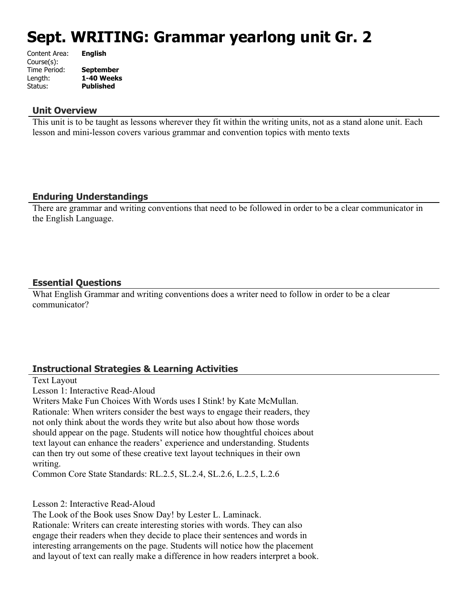# **Sept. WRITING: Grammar yearlong unit Gr. 2**

| Content Area: | <b>English</b>   |
|---------------|------------------|
| Course(s):    |                  |
| Time Period:  | <b>September</b> |
| Length:       | 1-40 Weeks       |
| Status:       | <b>Published</b> |
|               |                  |

#### **Unit Overview**

This unit is to be taught as lessons wherever they fit within the writing units, not as a stand alone unit. Each lesson and mini-lesson covers various grammar and convention topics with mento texts

# **Enduring Understandings**

There are grammar and writing conventions that need to be followed in order to be a clear communicator in the English Language.

# **Essential Questions**

What English Grammar and writing conventions does a writer need to follow in order to be a clear communicator?

# **Instructional Strategies & Learning Activities**

Text Layout

Lesson 1: Interactive Read-Aloud

Writers Make Fun Choices With Words uses I Stink! by Kate McMullan. Rationale: When writers consider the best ways to engage their readers, they not only think about the words they write but also about how those words should appear on the page. Students will notice how thoughtful choices about text layout can enhance the readers' experience and understanding. Students can then try out some of these creative text layout techniques in their own writing.

Common Core State Standards: RL.2.5, SL.2.4, SL.2.6, L.2.5, L.2.6

Lesson 2: Interactive Read-Aloud

The Look of the Book uses Snow Day! by Lester L. Laminack.

Rationale: Writers can create interesting stories with words. They can also engage their readers when they decide to place their sentences and words in interesting arrangements on the page. Students will notice how the placement and layout of text can really make a difference in how readers interpret a book.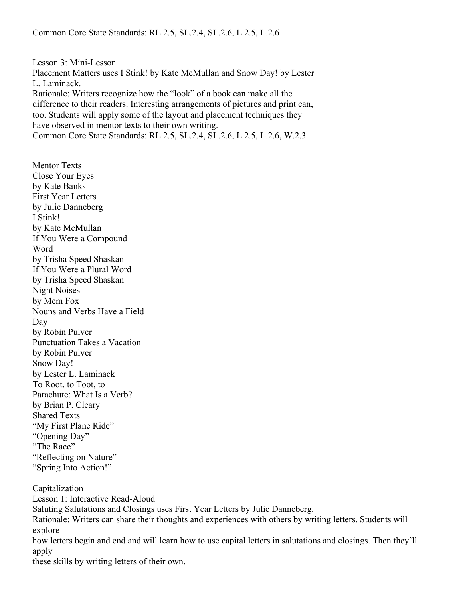Lesson 3: Mini-Lesson Placement Matters uses I Stink! by Kate McMullan and Snow Day! by Lester L. Laminack. Rationale: Writers recognize how the "look" of a book can make all the difference to their readers. Interesting arrangements of pictures and print can, too. Students will apply some of the layout and placement techniques they have observed in mentor texts to their own writing. Common Core State Standards: RL.2.5, SL.2.4, SL.2.6, L.2.5, L.2.6, W.2.3

Mentor Texts Close Your Eyes by Kate Banks First Year Letters by Julie Danneberg I Stink! by Kate McMullan If You Were a Compound Word by Trisha Speed Shaskan If You Were a Plural Word by Trisha Speed Shaskan Night Noises by Mem Fox Nouns and Verbs Have a Field Day by Robin Pulver Punctuation Takes a Vacation by Robin Pulver Snow Day! by Lester L. Laminack To Root, to Toot, to Parachute: What Is a Verb? by Brian P. Cleary Shared Texts "My First Plane Ride" "Opening Day" "The Race" "Reflecting on Nature" "Spring Into Action!"

Capitalization Lesson 1: Interactive Read-Aloud Saluting Salutations and Closings uses First Year Letters by Julie Danneberg. Rationale: Writers can share their thoughts and experiences with others by writing letters. Students will explore how letters begin and end and will learn how to use capital letters in salutations and closings. Then they'll apply

these skills by writing letters of their own.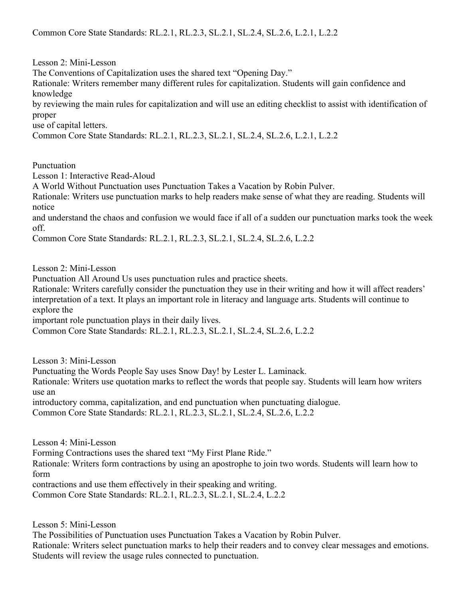Lesson 2: Mini-Lesson

The Conventions of Capitalization uses the shared text "Opening Day."

Rationale: Writers remember many different rules for capitalization. Students will gain confidence and knowledge

by reviewing the main rules for capitalization and will use an editing checklist to assist with identification of proper

use of capital letters.

Common Core State Standards: RL.2.1, RL.2.3, SL.2.1, SL.2.4, SL.2.6, L.2.1, L.2.2

Punctuation

Lesson 1: Interactive Read-Aloud

A World Without Punctuation uses Punctuation Takes a Vacation by Robin Pulver.

Rationale: Writers use punctuation marks to help readers make sense of what they are reading. Students will notice

and understand the chaos and confusion we would face if all of a sudden our punctuation marks took the week off.

Common Core State Standards: RL.2.1, RL.2.3, SL.2.1, SL.2.4, SL.2.6, L.2.2

Lesson 2: Mini-Lesson

Punctuation All Around Us uses punctuation rules and practice sheets.

Rationale: Writers carefully consider the punctuation they use in their writing and how it will affect readers' interpretation of a text. It plays an important role in literacy and language arts. Students will continue to explore the

important role punctuation plays in their daily lives.

Common Core State Standards: RL.2.1, RL.2.3, SL.2.1, SL.2.4, SL.2.6, L.2.2

Lesson 3: Mini-Lesson

Punctuating the Words People Say uses Snow Day! by Lester L. Laminack.

Rationale: Writers use quotation marks to reflect the words that people say. Students will learn how writers use an

introductory comma, capitalization, and end punctuation when punctuating dialogue.

Common Core State Standards: RL.2.1, RL.2.3, SL.2.1, SL.2.4, SL.2.6, L.2.2

Lesson 4: Mini-Lesson

Forming Contractions uses the shared text "My First Plane Ride."

Rationale: Writers form contractions by using an apostrophe to join two words. Students will learn how to form

contractions and use them effectively in their speaking and writing.

Common Core State Standards: RL.2.1, RL.2.3, SL.2.1, SL.2.4, L.2.2

Lesson 5: Mini-Lesson

The Possibilities of Punctuation uses Punctuation Takes a Vacation by Robin Pulver. Rationale: Writers select punctuation marks to help their readers and to convey clear messages and emotions. Students will review the usage rules connected to punctuation.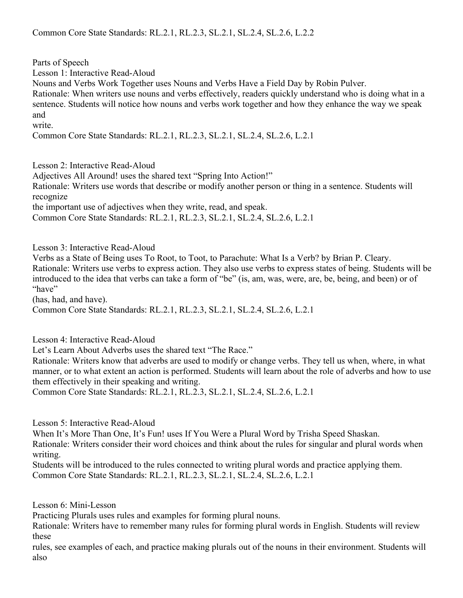Parts of Speech

Lesson 1: Interactive Read-Aloud

Nouns and Verbs Work Together uses Nouns and Verbs Have a Field Day by Robin Pulver.

Rationale: When writers use nouns and verbs effectively, readers quickly understand who is doing what in a sentence. Students will notice how nouns and verbs work together and how they enhance the way we speak and

write.

Common Core State Standards: RL.2.1, RL.2.3, SL.2.1, SL.2.4, SL.2.6, L.2.1

Lesson 2: Interactive Read-Aloud

Adjectives All Around! uses the shared text "Spring Into Action!"

Rationale: Writers use words that describe or modify another person or thing in a sentence. Students will recognize

the important use of adjectives when they write, read, and speak.

Common Core State Standards: RL.2.1, RL.2.3, SL.2.1, SL.2.4, SL.2.6, L.2.1

Lesson 3: Interactive Read-Aloud

Verbs as a State of Being uses To Root, to Toot, to Parachute: What Is a Verb? by Brian P. Cleary. Rationale: Writers use verbs to express action. They also use verbs to express states of being. Students will be introduced to the idea that verbs can take a form of "be" (is, am, was, were, are, be, being, and been) or of "have"

(has, had, and have).

Common Core State Standards: RL.2.1, RL.2.3, SL.2.1, SL.2.4, SL.2.6, L.2.1

Lesson 4: Interactive Read-Aloud

Let's Learn About Adverbs uses the shared text "The Race."

Rationale: Writers know that adverbs are used to modify or change verbs. They tell us when, where, in what manner, or to what extent an action is performed. Students will learn about the role of adverbs and how to use them effectively in their speaking and writing.

Common Core State Standards: RL.2.1, RL.2.3, SL.2.1, SL.2.4, SL.2.6, L.2.1

Lesson 5: Interactive Read-Aloud

When It's More Than One, It's Fun! uses If You Were a Plural Word by Trisha Speed Shaskan. Rationale: Writers consider their word choices and think about the rules for singular and plural words when writing.

Students will be introduced to the rules connected to writing plural words and practice applying them. Common Core State Standards: RL.2.1, RL.2.3, SL.2.1, SL.2.4, SL.2.6, L.2.1

Lesson 6: Mini-Lesson

Practicing Plurals uses rules and examples for forming plural nouns.

Rationale: Writers have to remember many rules for forming plural words in English. Students will review these

rules, see examples of each, and practice making plurals out of the nouns in their environment. Students will also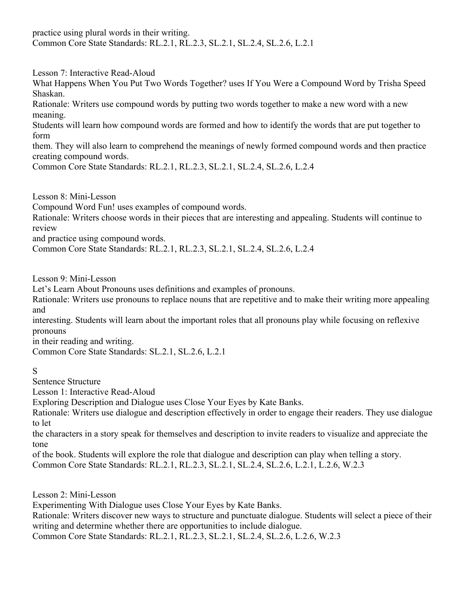practice using plural words in their writing. Common Core State Standards: RL.2.1, RL.2.3, SL.2.1, SL.2.4, SL.2.6, L.2.1

Lesson 7: Interactive Read-Aloud

What Happens When You Put Two Words Together? uses If You Were a Compound Word by Trisha Speed Shaskan.

Rationale: Writers use compound words by putting two words together to make a new word with a new meaning.

Students will learn how compound words are formed and how to identify the words that are put together to form

them. They will also learn to comprehend the meanings of newly formed compound words and then practice creating compound words.

Common Core State Standards: RL.2.1, RL.2.3, SL.2.1, SL.2.4, SL.2.6, L.2.4

Lesson 8: Mini-Lesson

Compound Word Fun! uses examples of compound words.

Rationale: Writers choose words in their pieces that are interesting and appealing. Students will continue to review

and practice using compound words.

Common Core State Standards: RL.2.1, RL.2.3, SL.2.1, SL.2.4, SL.2.6, L.2.4

Lesson 9: Mini-Lesson

Let's Learn About Pronouns uses definitions and examples of pronouns.

Rationale: Writers use pronouns to replace nouns that are repetitive and to make their writing more appealing and

interesting. Students will learn about the important roles that all pronouns play while focusing on reflexive pronouns

in their reading and writing.

Common Core State Standards: SL.2.1, SL.2.6, L.2.1

# S

Sentence Structure

Lesson 1: Interactive Read-Aloud

Exploring Description and Dialogue uses Close Your Eyes by Kate Banks.

Rationale: Writers use dialogue and description effectively in order to engage their readers. They use dialogue to let

the characters in a story speak for themselves and description to invite readers to visualize and appreciate the tone

of the book. Students will explore the role that dialogue and description can play when telling a story. Common Core State Standards: RL.2.1, RL.2.3, SL.2.1, SL.2.4, SL.2.6, L.2.1, L.2.6, W.2.3

Lesson 2: Mini-Lesson

Experimenting With Dialogue uses Close Your Eyes by Kate Banks.

Rationale: Writers discover new ways to structure and punctuate dialogue. Students will select a piece of their writing and determine whether there are opportunities to include dialogue.

Common Core State Standards: RL.2.1, RL.2.3, SL.2.1, SL.2.4, SL.2.6, L.2.6, W.2.3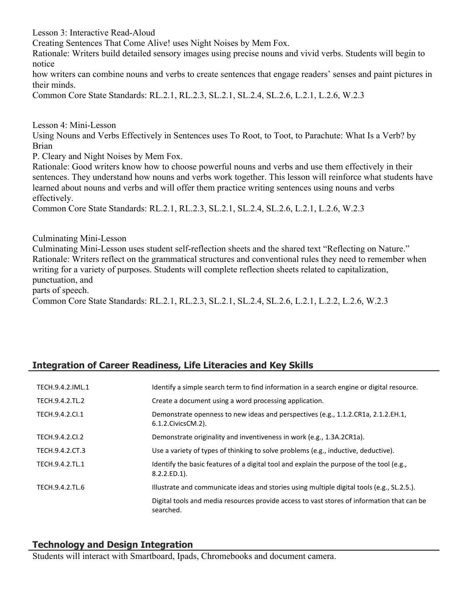Lesson 3: Interactive Read-Aloud

Creating Sentences That Come Alive! uses Night Noises by Mem Fox.

Rationale: Writers build detailed sensory images using precise nouns and vivid verbs. Students will begin to notice

how writers can combine nouns and verbs to create sentences that engage readers' senses and paint pictures in their minds.

Common Core State Standards: RL.2.1, RL.2.3, SL.2.1, SL.2.4, SL.2.6, L.2.1, L.2.6, W.2.3

Lesson 4: Mini-Lesson

Using Nouns and Verbs Effectively in Sentences uses To Root, to Toot, to Parachute: What Is a Verb? by Brian

P. Cleary and Night Noises by Mem Fox.

Rationale: Good writers know how to choose powerful nouns and verbs and use them effectively in their sentences. They understand how nouns and verbs work together. This lesson will reinforce what students have learned about nouns and verbs and will offer them practice writing sentences using nouns and verbs effectively.

Common Core State Standards: RL.2.1, RL.2.3, SL.2.1, SL.2.4, SL.2.6, L.2.1, L.2.6, W.2.3

Culminating Mini-Lesson

Culminating Mini-Lesson uses student self-reflection sheets and the shared text "Reflecting on Nature." Rationale: Writers reflect on the grammatical structures and conventional rules they need to remember when writing for a variety of purposes. Students will complete reflection sheets related to capitalization, punctuation, and parts of speech.

Common Core State Standards: RL.2.1, RL.2.3, SL.2.1, SL.2.4, SL.2.6, L.2.1, L.2.2, L.2.6, W.2.3

# **Integration of Career Readiness, Life Literacies and Key Skills**

| TECH.9.4.2.IML.1 | Identify a simple search term to find information in a search engine or digital resource.                   |
|------------------|-------------------------------------------------------------------------------------------------------------|
| TECH.9.4.2.TL.2  | Create a document using a word processing application.                                                      |
| TECH.9.4.2.Cl.1  | Demonstrate openness to new ideas and perspectives (e.g., 1.1.2.CR1a, 2.1.2.EH.1,<br>6.1.2. Civics CM. 2).  |
| TECH.9.4.2.CI.2  | Demonstrate originality and inventiveness in work (e.g., 1.3A.2CR1a).                                       |
| TECH.9.4.2.CT.3  | Use a variety of types of thinking to solve problems (e.g., inductive, deductive).                          |
| TECH.9.4.2.TL.1  | Identify the basic features of a digital tool and explain the purpose of the tool (e.g.,<br>$8.2.2.ED.1$ ). |
| TECH.9.4.2.TL.6  | Illustrate and communicate ideas and stories using multiple digital tools (e.g., SL.2.5.).                  |
|                  | Digital tools and media resources provide access to vast stores of information that can be<br>searched.     |

#### **Technology and Design Integration**

Students will interact with Smartboard, Ipads, Chromebooks and document camera.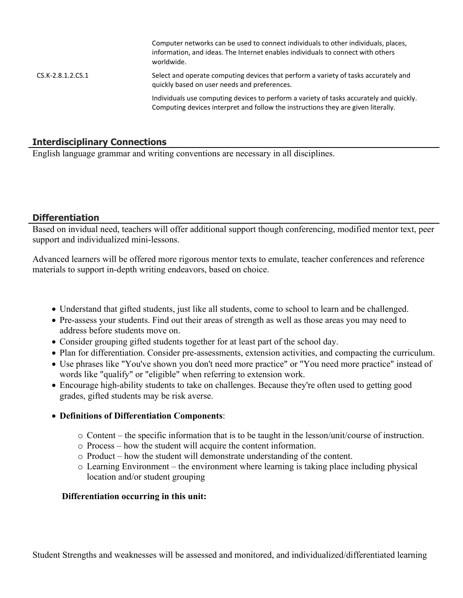Computer networks can be used to connect individuals to other individuals, places, information, and ideas. The Internet enables individuals to connect with others worldwide. CS.K-2.8.1.2.CS.1 Select and operate computing devices that perform a variety of tasks accurately and quickly based on user needs and preferences. Individuals use computing devices to perform a variety of tasks accurately and quickly. Computing devices interpret and follow the instructions they are given literally.

# **Interdisciplinary Connections**

English language grammar and writing conventions are necessary in all disciplines.

#### **Differentiation**

Based on invidual need, teachers will offer additional support though conferencing, modified mentor text, peer support and individualized mini-lessons.

Advanced learners will be offered more rigorous mentor texts to emulate, teacher conferences and reference materials to support in-depth writing endeavors, based on choice.

- Understand that gifted students, just like all students, come to school to learn and be challenged.
- Pre-assess your students. Find out their areas of strength as well as those areas you may need to address before students move on.
- Consider grouping gifted students together for at least part of the school day.
- Plan for differentiation. Consider pre-assessments, extension activities, and compacting the curriculum.
- Use phrases like "You've shown you don't need more practice" or "You need more practice" instead of words like "qualify" or "eligible" when referring to extension work.
- Encourage high-ability students to take on challenges. Because they're often used to getting good grades, gifted students may be risk averse.
- **Definitions of Differentiation Components**:
	- o Content the specific information that is to be taught in the lesson/unit/course of instruction.
	- o Process how the student will acquire the content information.
	- o Product how the student will demonstrate understanding of the content.
	- o Learning Environment the environment where learning is taking place including physical location and/or student grouping

#### **Differentiation occurring in this unit:**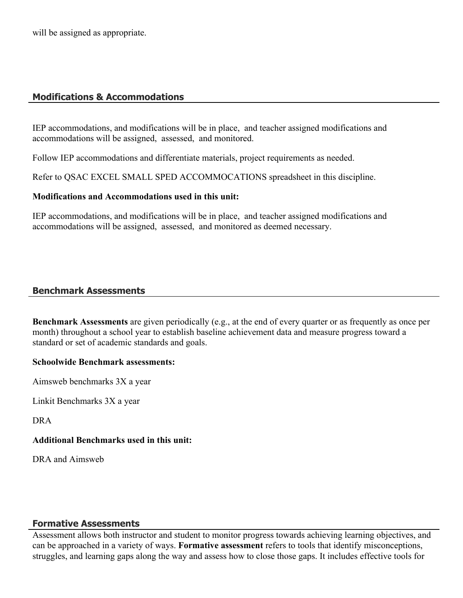will be assigned as appropriate.

# **Modifications & Accommodations**

IEP accommodations, and modifications will be in place, and teacher assigned modifications and accommodations will be assigned, assessed, and monitored.

Follow IEP accommodations and differentiate materials, project requirements as needed.

Refer to QSAC EXCEL SMALL SPED ACCOMMOCATIONS spreadsheet in this discipline.

#### **Modifications and Accommodations used in this unit:**

IEP accommodations, and modifications will be in place, and teacher assigned modifications and accommodations will be assigned, assessed, and monitored as deemed necessary.

#### **Benchmark Assessments**

**Benchmark Assessments** are given periodically (e.g., at the end of every quarter or as frequently as once per month) throughout a school year to establish baseline achievement data and measure progress toward a standard or set of academic standards and goals.

#### **Schoolwide Benchmark assessments:**

Aimsweb benchmarks 3X a year

Linkit Benchmarks 3X a year

DRA

#### **Additional Benchmarks used in this unit:**

DRA and Aimsweb

#### **Formative Assessments**

Assessment allows both instructor and student to monitor progress towards achieving learning objectives, and can be approached in a variety of ways. **Formative assessment** refers to tools that identify misconceptions, struggles, and learning gaps along the way and assess how to close those gaps. It includes effective tools for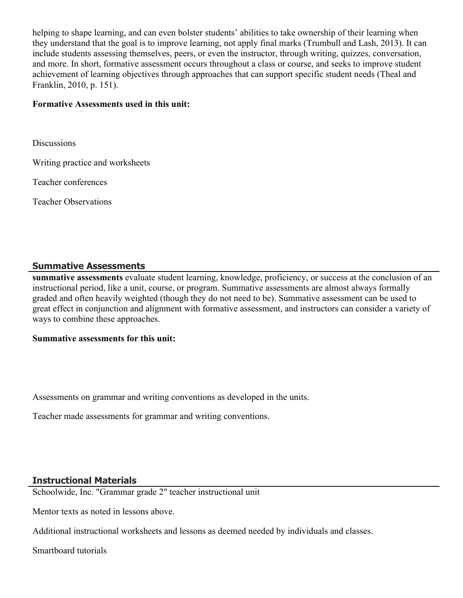helping to shape learning, and can even bolster students' abilities to take ownership of their learning when they understand that the goal is to improve learning, not apply final marks (Trumbull and Lash, 2013). It can include students assessing themselves, peers, or even the instructor, through writing, quizzes, conversation, and more. In short, formative assessment occurs throughout a class or course, and seeks to improve student achievement of learning objectives through approaches that can support specific student needs (Theal and Franklin, 2010, p. 151).

#### **Formative Assessments used in this unit:**

**Discussions** 

Writing practice and worksheets

Teacher conferences

Teacher Observations

#### **Summative Assessments**

**summative assessments** evaluate student learning, knowledge, proficiency, or success at the conclusion of an instructional period, like a unit, course, or program. Summative assessments are almost always formally graded and often heavily weighted (though they do not need to be). Summative assessment can be used to great effect in conjunction and alignment with formative assessment, and instructors can consider a variety of ways to combine these approaches.

#### **Summative assessments for this unit:**

Assessments on grammar and writing conventions as developed in the units.

Teacher made assessments for grammar and writing conventions.

# **Instructional Materials**

Schoolwide, Inc. "Grammar grade 2" teacher instructional unit

Mentor texts as noted in lessons above.

Additional instructional worksheets and lessons as deemed needed by individuals and classes.

Smartboard tutorials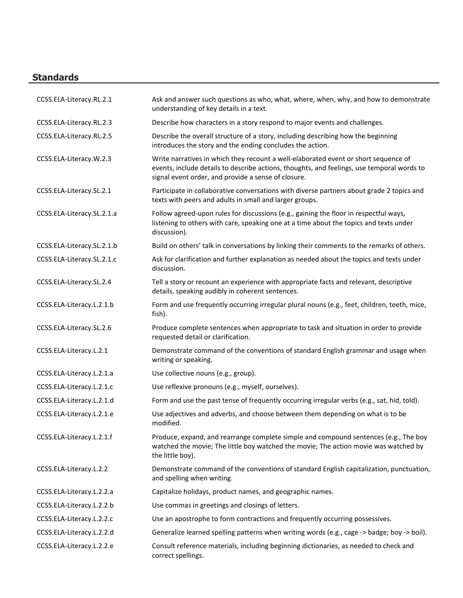# **Standards**

| CCSS.ELA-Literacy.RL.2.1   | Ask and answer such questions as who, what, where, when, why, and how to demonstrate<br>understanding of key details in a text.                                                                                                          |
|----------------------------|------------------------------------------------------------------------------------------------------------------------------------------------------------------------------------------------------------------------------------------|
| CCSS.ELA-Literacy.RL.2.3   | Describe how characters in a story respond to major events and challenges.                                                                                                                                                               |
| CCSS.ELA-Literacy.RL.2.5   | Describe the overall structure of a story, including describing how the beginning<br>introduces the story and the ending concludes the action.                                                                                           |
| CCSS.ELA-Literacy.W.2.3    | Write narratives in which they recount a well-elaborated event or short sequence of<br>events, include details to describe actions, thoughts, and feelings, use temporal words to<br>signal event order, and provide a sense of closure. |
| CCSS.ELA-Literacy.SL.2.1   | Participate in collaborative conversations with diverse partners about grade 2 topics and<br>texts with peers and adults in small and larger groups.                                                                                     |
| CCSS.ELA-Literacy.SL.2.1.a | Follow agreed-upon rules for discussions (e.g., gaining the floor in respectful ways,<br>listening to others with care, speaking one at a time about the topics and texts under<br>discussion).                                          |
| CCSS.ELA-Literacy.SL.2.1.b | Build on others' talk in conversations by linking their comments to the remarks of others.                                                                                                                                               |
| CCSS.ELA-Literacy.SL.2.1.c | Ask for clarification and further explanation as needed about the topics and texts under<br>discussion.                                                                                                                                  |
| CCSS.ELA-Literacy.SL.2.4   | Tell a story or recount an experience with appropriate facts and relevant, descriptive<br>details, speaking audibly in coherent sentences.                                                                                               |
| CCSS.ELA-Literacy.L.2.1.b  | Form and use frequently occurring irregular plural nouns (e.g., feet, children, teeth, mice,<br>fish).                                                                                                                                   |
| CCSS.ELA-Literacy.SL.2.6   | Produce complete sentences when appropriate to task and situation in order to provide<br>requested detail or clarification.                                                                                                              |
| CCSS.ELA-Literacy.L.2.1    | Demonstrate command of the conventions of standard English grammar and usage when<br>writing or speaking.                                                                                                                                |
| CCSS.ELA-Literacy.L.2.1.a  | Use collective nouns (e.g., group).                                                                                                                                                                                                      |
| CCSS.ELA-Literacy.L.2.1.c  | Use reflexive pronouns (e.g., myself, ourselves).                                                                                                                                                                                        |
| CCSS.ELA-Literacy.L.2.1.d  | Form and use the past tense of frequently occurring irregular verbs (e.g., sat, hid, told).                                                                                                                                              |
| CCSS.ELA-Literacy.L.2.1.e  | Use adjectives and adverbs, and choose between them depending on what is to be<br>modified.                                                                                                                                              |
| CCSS.ELA-Literacy.L.2.1.f  | Produce, expand, and rearrange complete simple and compound sentences (e.g., The boy<br>watched the movie; The little boy watched the movie; The action movie was watched by<br>the little boy).                                         |
| CCSS.ELA-Literacy.L.2.2    | Demonstrate command of the conventions of standard English capitalization, punctuation,<br>and spelling when writing.                                                                                                                    |
| CCSS.ELA-Literacy.L.2.2.a  | Capitalize holidays, product names, and geographic names.                                                                                                                                                                                |
| CCSS.ELA-Literacy.L.2.2.b  | Use commas in greetings and closings of letters.                                                                                                                                                                                         |
| CCSS.ELA-Literacy.L.2.2.c  | Use an apostrophe to form contractions and frequently occurring possessives.                                                                                                                                                             |
| CCSS.ELA-Literacy.L.2.2.d  | Generalize learned spelling patterns when writing words (e.g., cage -> badge; boy -> boil).                                                                                                                                              |
| CCSS.ELA-Literacy.L.2.2.e  | Consult reference materials, including beginning dictionaries, as needed to check and<br>correct spellings.                                                                                                                              |